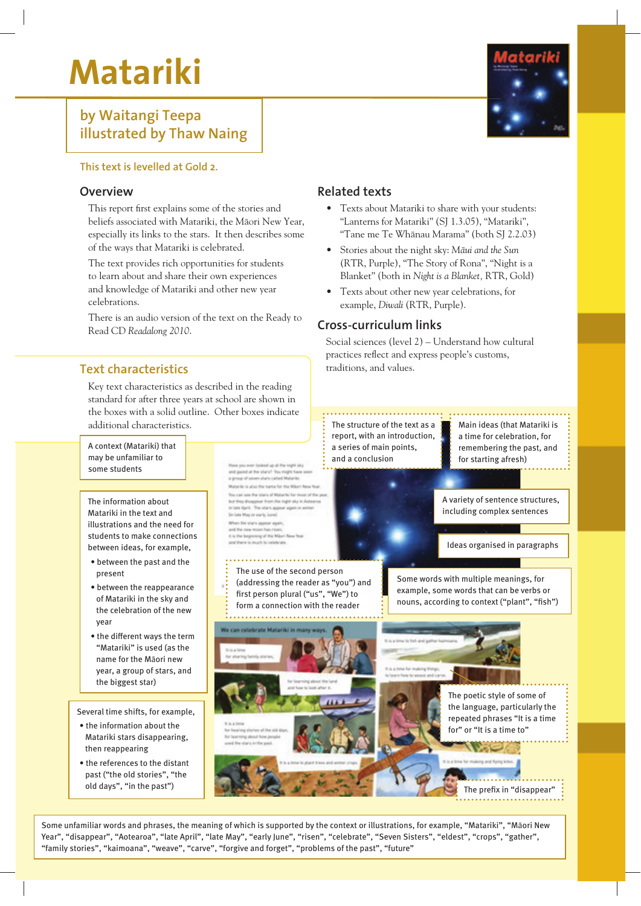# **Matariki**

# **by Waitangi Teepa illustrated by Thaw Naing**



#### **This text is levelled at Gold 2.**

#### **Overview**

This report first explains some of the stories and beliefs associated with Matariki, the Màori New Year, especially its links to the stars. It then describes some of the ways that Matariki is celebrated.

The text provides rich opportunities for students to learn about and share their own experiences and knowledge of Matariki and other new year celebrations.

There is an audio version of the text on the Ready to Read CD *Readalong 2010*.

## **Text characteristics**

Key text characteristics as described in the reading standard for after three years at school are shown in the boxes with a solid outline. Other boxes indicate additional characteristics.  $\begin{bmatrix} \cdot \cdot \end{bmatrix}$  The structure of the text as a  $\begin{bmatrix} \cdot \cdot \end{bmatrix}$  Main ideas (that Matariki is

#### **Related texts**

- Texts about Matariki to share with your students: "Lanterns for Matariki" (SJ 1.3.05), "Matariki", "Tane me Te Whànau Marama" (both SJ 2.2.03)
- Stories about the night sky: *Màui and the Sun* (RTR, Purple), "The Story of Rona", "Night is a Blanket" (both in *Night is a Blanket,* RTR, Gold)
- Texts about other new year celebrations, for example, *Diwali* (RTR, Purple).

#### **Cross-curriculum links**

report, with an introduction,

Social sciences (level 2) – Understand how cultural practices reflect and express people's customs, traditions, and values.

A context (Matariki) that remembering the past, and a series of main points, may be unfamiliar to and a conclusionfor starting afresh) Have you most looked up at the replit sky<br>and gazed at the stars? You magic have a<br>a group of seven when called Majuritis some students riki is also the turns for the Milest I the real and the interaction of the country of the A variety of sentence structures, The information about tra-saer avec the starts of Malaries for moses<br>of these disappear from the night sky in A<br>class April. The storts appear again in wi including complex sentences Matariki in the text and Sin Late May or early June) illustrations and the need for in the stars appear as students to make connections I is the beginning of the Miles Ideas organised in paragraphs between ideas, for example, • between the past and the The use of the second person present Some words with multiple meanings, for (addressing the reader as "you") and • between the reappearance example, some words that can be verbs or first person plural ("us", "We") to of Matariki in the sky and nouns, according to context ("plant", "fish") form a connection with the reader the celebration of the new year • the different ways the term "Matariki" is used (as the name for the Màori new year, a group of stars, and the biggest star) The poetic style of some of the language, particularly the Several time shifts, for example, repeated phrases "It is a time for" or "It is a time to"

• the information about the Matariki stars disappearing, then reappearing

• the references to the distant past ("the old stories", "the old days", "in the past")

The prefix in "disappear"

a time for celebration, for

Some unfamiliar words and phrases, the meaning of which is supported by the context or illustrations, for example, "Matariki", "Màori New Year", "disappear", "Aotearoa", "late April", "late May", "early June", "risen", "celebrate", "Seven Sisters", "eldest", "crops", "gather", "family stories", "kaimoana", "weave", "carve", "forgive and forget", "problems of the past", "future"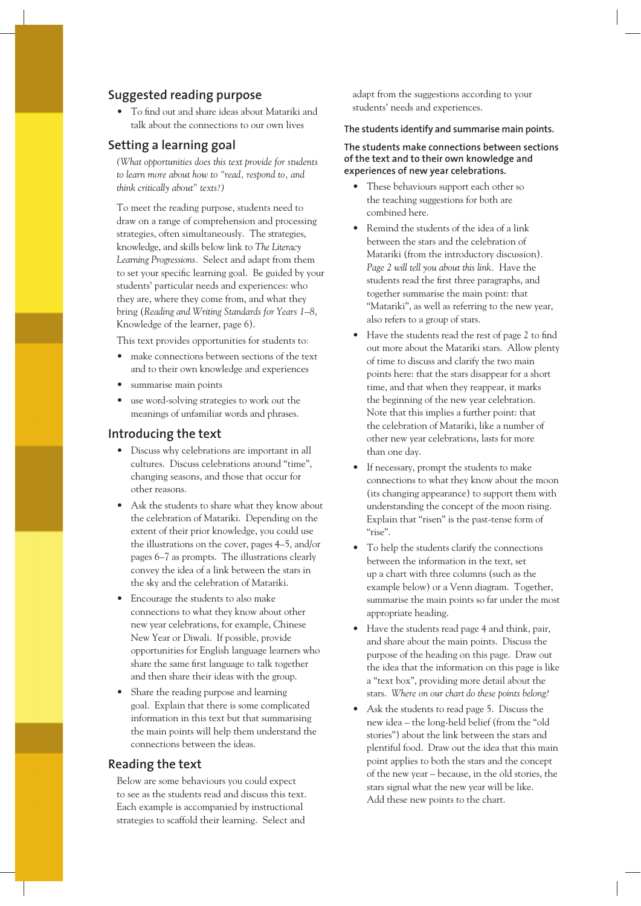#### **Suggested reading purpose**

• To find out and share ideas about Matariki and talk about the connections to our own lives

#### **Setting a learning goal**

*(What opportunities does this text provide for students to learn more about how to "read, respond to, and think critically about" texts?)*

To meet the reading purpose, students need to draw on a range of comprehension and processing strategies, often simultaneously. The strategies, knowledge, and skills below link to *The Literacy Learning Progressions.* Select and adapt from them to set your specific learning goal. Be guided by your students' particular needs and experiences: who they are, where they come from, and what they bring (*Reading and Writing Standards for Years 1–8*, Knowledge of the learner, page 6).

This text provides opportunities for students to:

- make connections between sections of the text and to their own knowledge and experiences
- summarise main points
- use word-solving strategies to work out the meanings of unfamiliar words and phrases.

#### **Introducing the text**

- Discuss why celebrations are important in all cultures. Discuss celebrations around "time", changing seasons, and those that occur for other reasons.
- Ask the students to share what they know about the celebration of Matariki. Depending on the extent of their prior knowledge, you could use the illustrations on the cover, pages 4–5, and/or pages 6–7 as prompts. The illustrations clearly convey the idea of a link between the stars in the sky and the celebration of Matariki.
- Encourage the students to also make connections to what they know about other new year celebrations, for example, Chinese New Year or Diwali. If possible, provide opportunities for English language learners who share the same first language to talk together and then share their ideas with the group.
- Share the reading purpose and learning goal. Explain that there is some complicated information in this text but that summarising the main points will help them understand the connections between the ideas.

#### **Reading the text**

Below are some behaviours you could expect to see as the students read and discuss this text. Each example is accompanied by instructional strategies to scaffold their learning. Select and

adapt from the suggestions according to your students' needs and experiences.

#### **The students identify and summarise main points.**

#### **The students make connections between sections of the text and to their own knowledge and experiences of new year celebrations.**

- These behaviours support each other so the teaching suggestions for both are combined here.
- Remind the students of the idea of a link between the stars and the celebration of Matariki (from the introductory discussion)*. Page 2 will tell you about this link.* Have the students read the first three paragraphs, and together summarise the main point: that "Matariki", as well as referring to the new year, also refers to a group of stars.
- Have the students read the rest of page 2 to find out more about the Matariki stars. Allow plenty of time to discuss and clarify the two main points here: that the stars disappear for a short time, and that when they reappear, it marks the beginning of the new year celebration. Note that this implies a further point: that the celebration of Matariki, like a number of other new year celebrations, lasts for more than one day.
- If necessary, prompt the students to make connections to what they know about the moon (its changing appearance) to support them with understanding the concept of the moon rising. Explain that "risen" is the past-tense form of "rise".
- To help the students clarify the connections between the information in the text, set up a chart with three columns (such as the example below) or a Venn diagram. Together, summarise the main points so far under the most appropriate heading.
- Have the students read page 4 and think, pair, and share about the main points. Discuss the purpose of the heading on this page. Draw out the idea that the information on this page is like a "text box", providing more detail about the stars. *Where on our chart do these points belong?*
- Ask the students to read page 5. Discuss the new idea – the long-held belief (from the "old stories") about the link between the stars and plentiful food. Draw out the idea that this main point applies to both the stars and the concept of the new year – because, in the old stories, the stars signal what the new year will be like. Add these new points to the chart.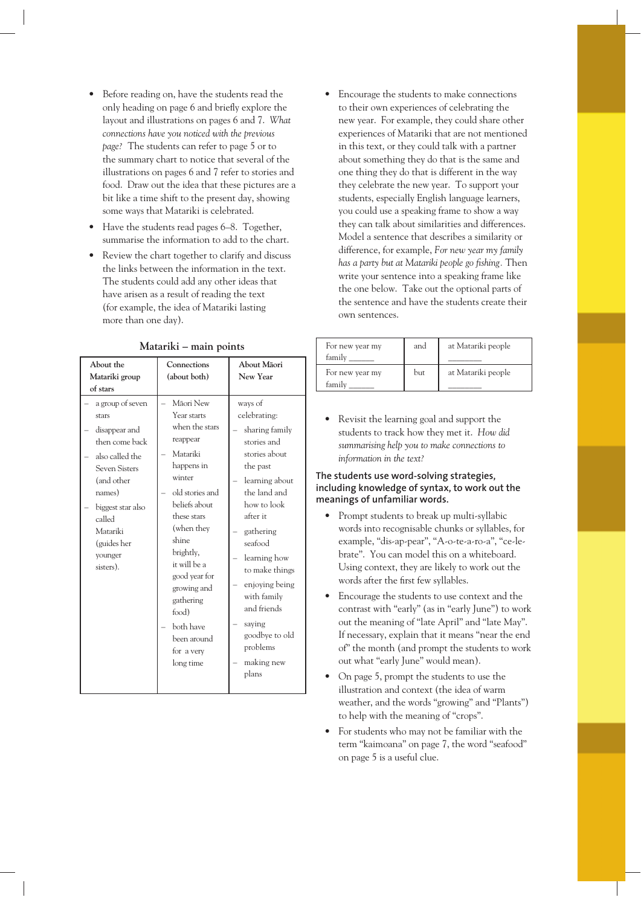- Before reading on, have the students read the only heading on page 6 and briefly explore the layout and illustrations on pages 6 and 7. *What connections have you noticed with the previous page?* The students can refer to page 5 or to the summary chart to notice that several of the illustrations on pages 6 and 7 refer to stories and food. Draw out the idea that these pictures are a bit like a time shift to the present day, showing some ways that Matariki is celebrated.
- Have the students read pages 6–8. Together, summarise the information to add to the chart.
- Review the chart together to clarify and discuss the links between the information in the text. The students could add any other ideas that have arisen as a result of reading the text (for example, the idea of Matariki lasting more than one day).

| About the<br>Matariki group<br>of stars                                                                                                                                                                           | Connections<br>(about both)                                                                                                                                                                                                                                                                                    | About Māori<br>New Year                                                                                                                                                                                                                                                                                                     |
|-------------------------------------------------------------------------------------------------------------------------------------------------------------------------------------------------------------------|----------------------------------------------------------------------------------------------------------------------------------------------------------------------------------------------------------------------------------------------------------------------------------------------------------------|-----------------------------------------------------------------------------------------------------------------------------------------------------------------------------------------------------------------------------------------------------------------------------------------------------------------------------|
| a group of seven<br>stars<br>disappear and<br>then come back<br>also called the<br><b>Seven Sisters</b><br>(and other<br>names)<br>biggest star also<br>called<br>Matariki<br>(guides her<br>younger<br>sisters). | Māori New<br>Year starts<br>when the stars<br>reappear<br>Matariki<br>happens in<br>winter<br>old stories and<br>beliefs about<br>these stars<br>(when they<br>shine<br>brightly,<br>it will be a<br>good year for<br>growing and<br>gathering<br>food)<br>both have<br>been around<br>for a very<br>long time | ways of<br>celebrating:<br>sharing family<br>stories and<br>stories about<br>the past<br>learning about<br>the land and<br>how to look<br>after it<br>gathering<br>seafood<br>learning how<br>to make things<br>enjoying being<br>with family<br>and friends<br>saying<br>goodbye to old<br>problems<br>making new<br>plans |

#### **Matariki – main points**

• Encourage the students to make connections to their own experiences of celebrating the new year. For example, they could share other experiences of Matariki that are not mentioned in this text, or they could talk with a partner about something they do that is the same and one thing they do that is different in the way they celebrate the new year. To support your students, especially English language learners, you could use a speaking frame to show a way they can talk about similarities and differences. Model a sentence that describes a similarity or difference, for example, *For new year my family has a party but at Matariki people go fi shing.* Then write your sentence into a speaking frame like the one below. Take out the optional parts of the sentence and have the students create their own sentences.

| For new year my<br>family | and | at Matariki people |
|---------------------------|-----|--------------------|
| For new year my<br>family | but | at Matariki people |

• Revisit the learning goal and support the students to track how they met it. *How did summarising help you to make connections to information in the text?*

#### **The students use word-solving strategies, including knowledge of syntax, to work out the meanings of unfamiliar words.**

- Prompt students to break up multi-syllabic words into recognisable chunks or syllables, for example, "dis-ap-pear", "A-o-te-a-ro-a", "ce-lebrate". You can model this on a whiteboard. Using context, they are likely to work out the words after the first few syllables.
- Encourage the students to use context and the contrast with "early" (as in "early June") to work out the meaning of "late April" and "late May". If necessary, explain that it means "near the end of" the month (and prompt the students to work out what "early June" would mean).
- On page 5, prompt the students to use the illustration and context (the idea of warm weather, and the words "growing" and "Plants") to help with the meaning of "crops".
- For students who may not be familiar with the term "kaimoana" on page 7, the word "seafood" on page 5 is a useful clue.